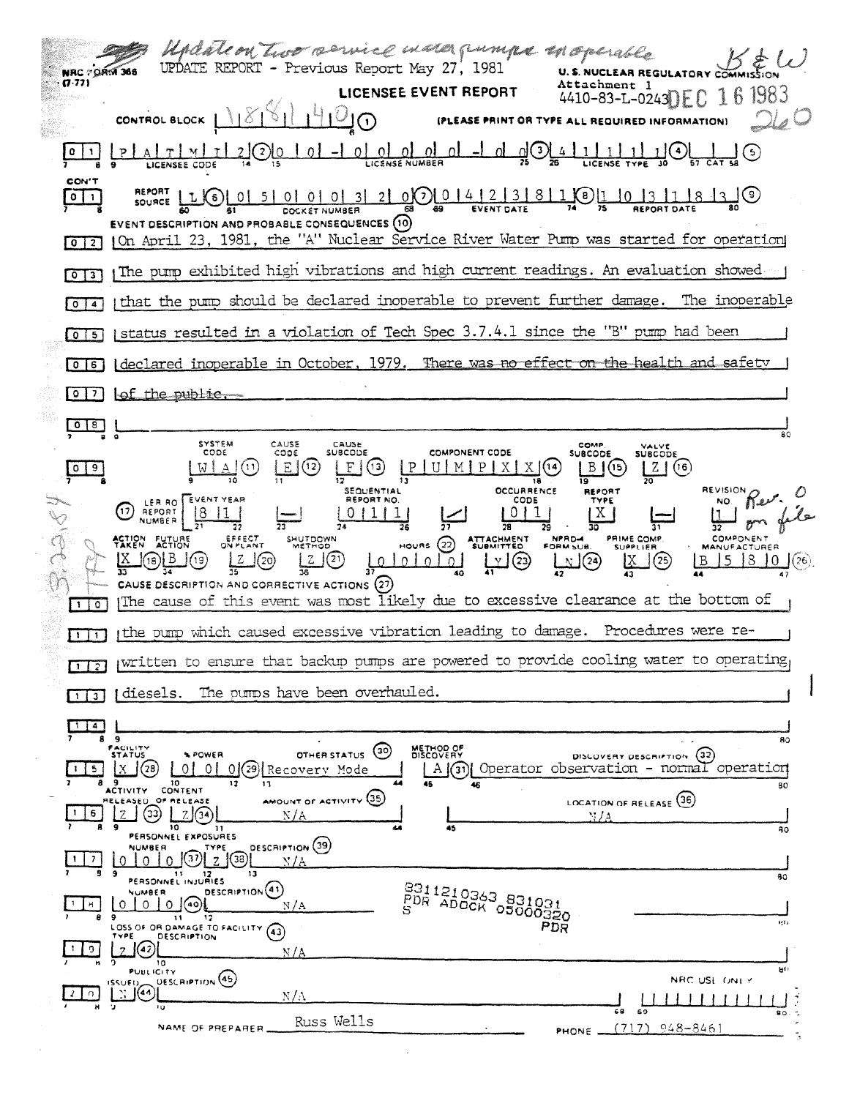| Undate on two service maso pumps in operable<br>UPDATE REPORT - Previous Report May 27, 1981<br><b>NRC - ORM 366</b><br>(7.77)<br><b>Attachment 1</b><br>LICENSEE EVENT REPORT<br>16 1983<br>$4410 - 83 - L - 0243$ FC                                                                                                                                                                                                                                                                                                                                                                                                                            |
|---------------------------------------------------------------------------------------------------------------------------------------------------------------------------------------------------------------------------------------------------------------------------------------------------------------------------------------------------------------------------------------------------------------------------------------------------------------------------------------------------------------------------------------------------------------------------------------------------------------------------------------------------|
| CONTROL BLOCK<br>(PLEASE PRINT OR TYPE ALL REQUIRED INFORMATION)                                                                                                                                                                                                                                                                                                                                                                                                                                                                                                                                                                                  |
| $\underbrace{0}{\cup}\underbrace{0}{\cup}\underbrace{0}{\cup}\underbrace{0}{\cup}\underbrace{1}{\cup}\underbrace{-1}{\cup}\underbrace{1}{\cup}\underbrace{0}{\cup}\underbrace{2}{\cup}\underbrace{4}{\cup}\underbrace{1}{\cup}\underbrace{1}{\cup}\underbrace{1}{\cup}\underbrace{1}{\cup}\underbrace{1}{\cup}\underbrace{1}{\cup}\underbrace{1}{\cup}\underbrace{1}{\cup}\underbrace{1}{\cup}\underbrace{1}{\cup}\underbrace{1}{\cup}\underbrace{1}{\cup}\underbrace{1}{\cup}\underbrace{1}{\cup}\underbrace{1}{\cup}\underbrace{1}{\cup}\underbrace{1}{\cup}\underbrace{$<br>$\Omega$ $\overline{\Omega}$<br>$\left( 5\right)$<br>LICENSEE CODE |
| <b>CON'T</b><br>METONI LIG 0 5 0 0 0 0 0 0 3 2 0 0 0 4 2 3 8 1 0 1 0 1 3 1 8 3 4<br>$\vert$ (a)<br>$0$   1<br><b>EVENT DESCRIPTION AND PROBABLE CONSEQUENCES (10)</b><br>On April 23, 1981, the "A" Nuclear Service River Water Pump was started for operation<br>$0$   2                                                                                                                                                                                                                                                                                                                                                                         |
| The pump exhibited high vibrations and high current readings. An evaluation showed $\sim$<br>$\overline{3}$<br>$\circ$                                                                                                                                                                                                                                                                                                                                                                                                                                                                                                                            |
| that the pump should be declared inoperable to prevent further damage. The inoperable<br>$0$ $4$                                                                                                                                                                                                                                                                                                                                                                                                                                                                                                                                                  |
| status resulted in a violation of Tech Spec 3.7.4.1 since the "B" pump had been<br>$0$ 5                                                                                                                                                                                                                                                                                                                                                                                                                                                                                                                                                          |
| Ideclared inoperable in October, 1979. There was no effect on the health and safety<br>  0   6                                                                                                                                                                                                                                                                                                                                                                                                                                                                                                                                                    |
| tof the public.<br>$0171$                                                                                                                                                                                                                                                                                                                                                                                                                                                                                                                                                                                                                         |
| 0 <sup>8</sup><br>80<br>SYSTEM<br>CAUSE<br>CAUSE<br>COMP<br>VALVE                                                                                                                                                                                                                                                                                                                                                                                                                                                                                                                                                                                 |
| CODE<br>SUBCODE<br>COMPONENT CODE<br>CODE<br><b>SUBCODE</b><br><b>SUBCODE</b><br>Ε<br>(12)<br>(13)<br>P <sub>1</sub><br>(16)<br>Z.<br>  9<br>(14)<br>ь<br>٥                                                                                                                                                                                                                                                                                                                                                                                                                                                                                       |
| <b>REVISION</b><br><b>OCCURRENCE</b><br>SEQUENTIAL<br>REPORT<br>LER RO EVENT YEAR<br><b>REPORT NO.</b><br>CODE<br>TYPE<br>17<br>REPORT<br>NUMBER<br><b>COMPONENT</b><br>EFFECT<br>ON PLANT<br>ATTACHMENT<br>SUBMITTED<br>NPRD-4<br>FORM SUB.<br>PRIME COMP<br>ACTION FUTURE<br>SHUTDOWN<br>HOURS $(22)$<br>METHOD<br><b>SUPPLIER</b><br><b>MANUFACTURER</b><br>(20)<br>(21)<br><u>LY</u> (23)<br>$\mathbb{Z}^{(24)}$<br>(25)<br>8<br>(19)<br>$101010101$<br>(18)<br>(26)<br>В<br>CAUSE DESCRIPTION AND CORRECTIVE ACTIONS (27)<br>The cause of this event was most likely due to excessive clearance at the bottom of<br>$1\sqrt{0}$              |
| the pump which caused excessive vibration leading to damage. Procedures were re-<br>$\mathbf{1}$ $\mathbf{1}$                                                                                                                                                                                                                                                                                                                                                                                                                                                                                                                                     |
| written to ensure that backup pumps are powered to provide cooling water to operating<br>$1 \mid 2 \mid$                                                                                                                                                                                                                                                                                                                                                                                                                                                                                                                                          |
| The pumps have been overhauled.<br>diesels.<br>$1 \mid 3 \mid$                                                                                                                                                                                                                                                                                                                                                                                                                                                                                                                                                                                    |
| 1 4<br>-9<br>80<br>FACILITY<br>METHOD OF<br>DISCOVERY<br>$^{(30)}$<br>OTHER STATUS<br>DISCOVERY DESCRIPTION (32)<br><b>STATUS</b><br><b>NPOWER</b><br>$A(\widehat{3})$ Operator observation - normal operation<br>(78)<br>01<br>$0$ (29) Recovery Mode<br>X<br>ΩI<br>5.<br>10<br>45<br>80<br><b>ACTIVITY CONTENT</b><br>AMOUNT OF ACTIVITY (35)<br>LOCATION OF RELEASE (36)<br>RELEASED. OF MELEASE<br>(33)<br>7.<br>6<br>N/A<br>NJA<br>9<br>10<br>45<br>11.<br>ß0<br>PERSONNEL EXPOSURES<br><b>DESCRIPTION</b> (39)<br><b>NUMBER</b><br>TYPE<br>(38)<br>-7<br>N/A<br>Ω                                                                           |
| э<br>13<br>-11<br>12<br>80<br>PERSONNEL INJURIES<br>POR ADOCK 05000320<br>DESCRIPTION <sup>(41)</sup><br>NUMBER<br>$0$ (40)<br>H.<br>$\Omega$<br>$\Omega$<br>N/A<br>9<br>$\mathbf{11}$<br>12<br>$14.6 + 1$<br>PDR<br>LOSS OF OR DAMAGE TO FACILITY (43)<br>DESCRIPTION<br>TYPE<br>(42)<br>9.<br>$\overline{7}$<br>N/A                                                                                                                                                                                                                                                                                                                             |
| 10<br>ម្វា<br>PUBLICITY<br>DESCRIPTION <sup>(45)</sup><br>NRC USE ONEY<br><b>ISSUED_</b><br>$\mathbb{E}[(44)]$                                                                                                                                                                                                                                                                                                                                                                                                                                                                                                                                    |
| n.<br>$N/\Lambda$<br>٠,<br>Ŧΰ<br>68<br>69<br>90<br>Russ Wells                                                                                                                                                                                                                                                                                                                                                                                                                                                                                                                                                                                     |
| $(717)$ 948-8461<br>NAME OF PREPARER.<br>PHONE _                                                                                                                                                                                                                                                                                                                                                                                                                                                                                                                                                                                                  |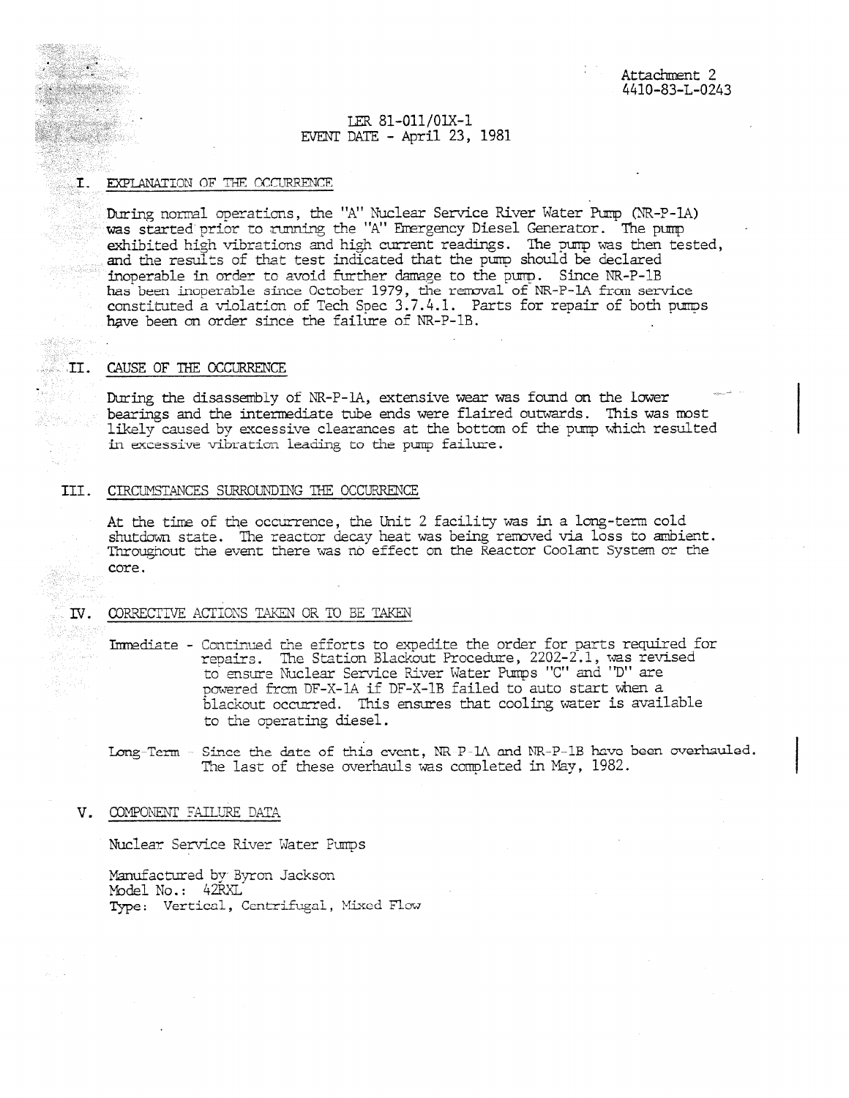### LER 81-011/01X-1 EVENT DATE - April 23, 1981

#### $\mathbf{I}$ . EXPLANATION OF THE OCCURRENCE

During normal operations, the "A" Nuclear Service River Water Pump (NR-P-1A) was started prior to running the "A" Emergency Diesel Generator. The pump exhibited high vibrations and high current readings. The pump was then tested, and the results of that test indicated that the pump should be declared inoperable in order to avoid further damage to the pump. Since NR-P-1B been inoperable since October 1979, the removal of NR-P-1A from service constituted a violation of Tech Spec  $3.7.4.1.$  Parts for repair of both pumps have been an order since the failure of NR-P-1B.

#### II. CAUSE OF THE OCCURRENCE

During the disassembly of NR-P-1A, extensive wear was found on the lower bearings and the intermediate tube ends were flaired outwards. This was most likely caused by excessive clearances at the bottom of the pump which resulted in ecessive vibration Leading to the pump failure.

# III. CIRCUMSTANCES SURROUNDING THE OCCURRENCE

At the time of the occurrence, the Unit 2 facility was in a long-term cold shutdown state. The reactor decay heat was being removed via loss to ambient. Throughout the event there was *nb* effect on the Reactor Coolant System or hte core.

### IV. CORRECTIVE ACTIONS TAKEN OR TO BE TAKEN

Inmediate - Continued the efforts to expedite the order for parts required for repairs. The Station Blackout Procedure, 2202-2.1, was revised to nesure Nuclear Service River Water Pumps "C" and "D" are powered from DF-X-1A if DF-X-1B failed to auto start when a blackout occurred. This ensures that cooling water is available to the operating diesel.

Long-Term - Since the date of this event,  $NR-P-1\Lambda$  and  $NR-P-1B$  have been overhauled. The last of these overhauls was completed in May, 1982.

#### V. COMPONENT FAILURE DATA

Nuclear Service River Water Pumps

Manufactured by Jackson Model No.: 42RXL Type: Vertical, Centrifugal, Mixed Flow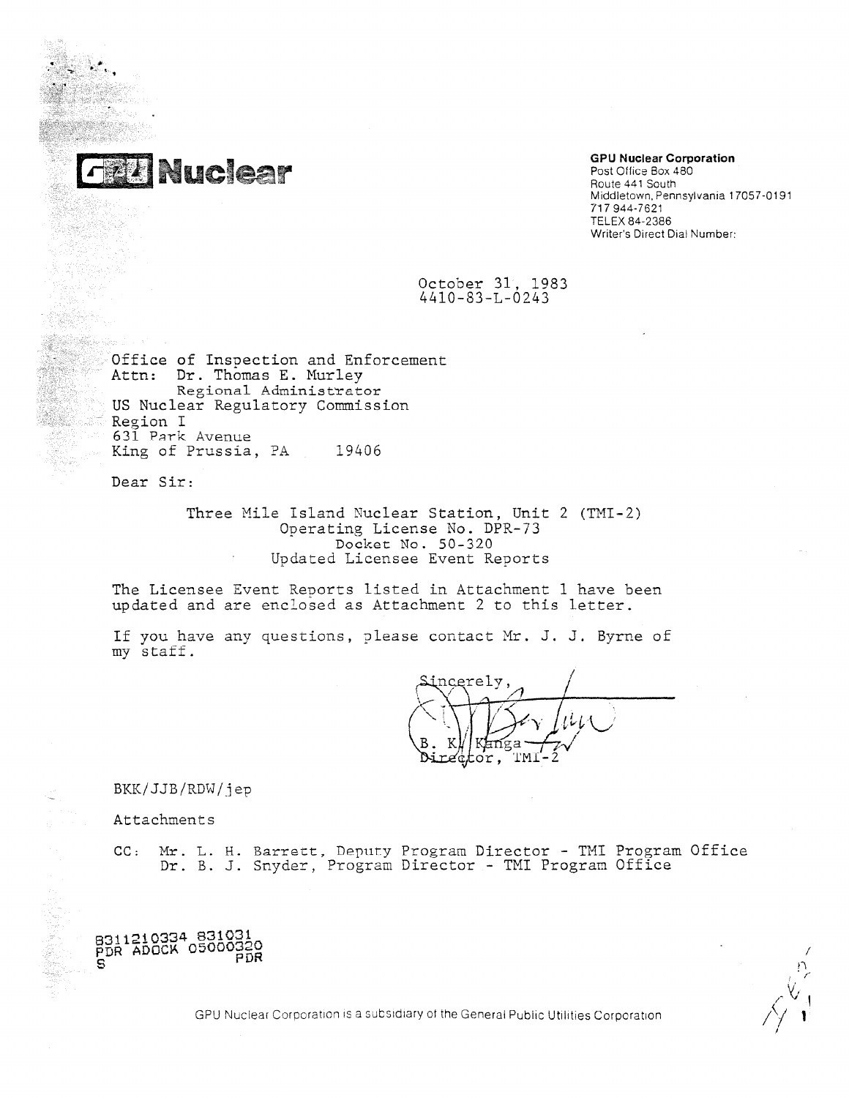

# **GPU Nuclear Corporation**

Post Office Box 480<br>Route 441 South example and the Nuclear C<br>Post Office Box<br>Route 441 South Middletown, Pennsylvania 17057-0191 717 944-7621 TELEX 84-2386 Writer's Direct Dial Number:

> October 31, 1983 4410-83-L-0243

Office of Inspection and Enforcement Attn: Dr. Thomas E. Murley Regional Administrator US Nuclear Regulatory Commission Region I 631 Park Avenue King of Prussia, PA 19406

Dear Sir:

át.<br>Sa

Three Mile Island Nuclear Station, Unit 2 (7MI-2) Operating License No. DPR-73 Docket No. 50 - 320 Updated Licensee Event Reports

The Licensee Event Reports listed in Attachment 1 have been updated and are enclosed as Attachment 2 to this letter.

If you have any questions, please contact Mr. J. J. Byrne of my staff.

incerely  $\varDelta$ Y *I* ici/L; Ai B. KW Kan ga $\rightarrow$ z $\sqrt{$  $\dot{\tt or}$  ,

BKK/JJB/RDW/jep \_

Attachments

8311210334 831031 PDR ADOCK 05000329

CC: Mr. L. H. Barrett, Deputy Program Director - TMI Program Office Dr. B. J. Snyder, Program Director - TMI Program Office

 $\overrightarrow{PDR}$  $S \sim \frac{1}{2}$ 

GPU Nuclear Corporation is a subsidiary of the General Public Utilities Corporation